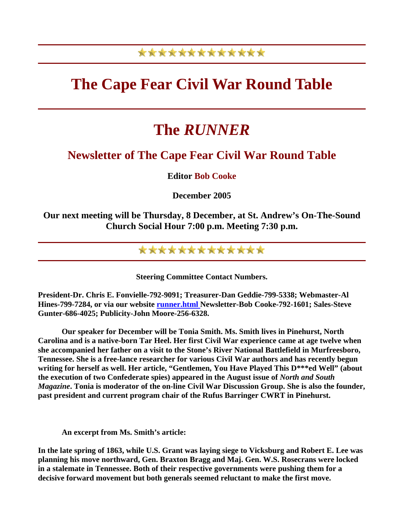## \*\*\*\*\*\*\*\*\*\*\*\*\*

## **The Cape Fear Civil War Round Table**

## **The** *RUNNER*

## **Newsletter of The Cape Fear Civil War Round Table**

**Editor Bob Cooke** 

**December 2005** 

**Our next meeting will be Thursday, 8 December, at St. Andrew's On-The-Sound Church Social Hour 7:00 p.m. Meeting 7:30 p.m.** 

\*\*\*\*\*\*\*\*\*\*\*\*\*

**Steering Committee Contact Numbers.** 

**President-Dr. Chris E. Fonvielle-792-9091; Treasurer-Dan Geddie-799-5338; Webmaster-Al Hines-799-7284, or via our website runner.html Newsletter-Bob Cooke-792-1601; Sales-Steve Gunter-686-4025; Publicity-John Moore-256-6328.** 

 **Our speaker for December will be Tonia Smith. Ms. Smith lives in Pinehurst, North Carolina and is a native-born Tar Heel. Her first Civil War experience came at age twelve when she accompanied her father on a visit to the Stone's River National Battlefield in Murfreesboro, Tennessee. She is a free-lance researcher for various Civil War authors and has recently begun writing for herself as well. Her article, "Gentlemen, You Have Played This D\*\*\*ed Well" (about the execution of two Confederate spies) appeared in the August issue of** *North and South Magazine***. Tonia is moderator of the on-line Civil War Discussion Group. She is also the founder, past president and current program chair of the Rufus Barringer CWRT in Pinehurst.** 

 **An excerpt from Ms. Smith's article:** 

**In the late spring of 1863, while U.S. Grant was laying siege to Vicksburg and Robert E. Lee was planning his move northward, Gen. Braxton Bragg and Maj. Gen. W.S. Rosecrans were locked in a stalemate in Tennessee. Both of their respective governments were pushing them for a decisive forward movement but both generals seemed reluctant to make the first move.**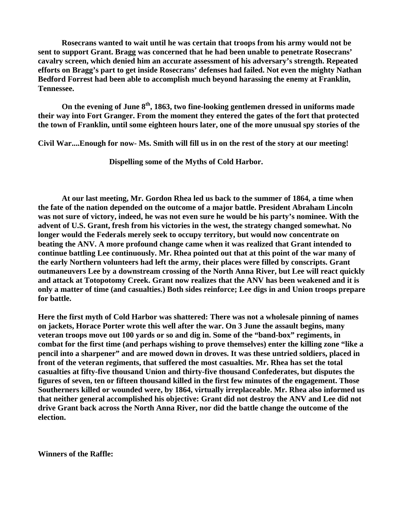**Rosecrans wanted to wait until he was certain that troops from his army would not be sent to support Grant. Bragg was concerned that he had been unable to penetrate Rosecrans' cavalry screen, which denied him an accurate assessment of his adversary's strength. Repeated efforts on Bragg's part to get inside Rosecrans' defenses had failed. Not even the mighty Nathan Bedford Forrest had been able to accomplish much beyond harassing the enemy at Franklin, Tennessee.** 

On the evening of June 8<sup>th</sup>, 1863, two fine-looking gentlemen dressed in uniforms made **their way into Fort Granger. From the moment they entered the gates of the fort that protected the town of Franklin, until some eighteen hours later, one of the more unusual spy stories of the** 

**Civil War....Enough for now- Ms. Smith will fill us in on the rest of the story at our meeting!** 

 **Dispelling some of the Myths of Cold Harbor.** 

 **At our last meeting, Mr. Gordon Rhea led us back to the summer of 1864, a time when the fate of the nation depended on the outcome of a major battle. President Abraham Lincoln was not sure of victory, indeed, he was not even sure he would be his party's nominee. With the advent of U.S. Grant, fresh from his victories in the west, the strategy changed somewhat. No longer would the Federals merely seek to occupy territory, but would now concentrate on beating the ANV. A more profound change came when it was realized that Grant intended to continue battling Lee continuously. Mr. Rhea pointed out that at this point of the war many of the early Northern volunteers had left the army, their places were filled by conscripts. Grant outmaneuvers Lee by a downstream crossing of the North Anna River, but Lee will react quickly and attack at Totopotomy Creek. Grant now realizes that the ANV has been weakened and it is only a matter of time (and casualties.) Both sides reinforce; Lee digs in and Union troops prepare for battle.** 

**Here the first myth of Cold Harbor was shattered: There was not a wholesale pinning of names on jackets, Horace Porter wrote this well after the war. On 3 June the assault begins, many veteran troops move out 100 yards or so and dig in. Some of the "band-box" regiments, in combat for the first time (and perhaps wishing to prove themselves) enter the killing zone "like a pencil into a sharpener" and are mowed down in droves. It was these untried soldiers, placed in front of the veteran regiments, that suffered the most casualties. Mr. Rhea has set the total casualties at fifty-five thousand Union and thirty-five thousand Confederates, but disputes the figures of seven, ten or fifteen thousand killed in the first few minutes of the engagement. Those Southerners killed or wounded were, by 1864, virtually irreplaceable. Mr. Rhea also informed us that neither general accomplished his objective: Grant did not destroy the ANV and Lee did not drive Grant back across the North Anna River, nor did the battle change the outcome of the election.** 

**Winners of the Raffle:**